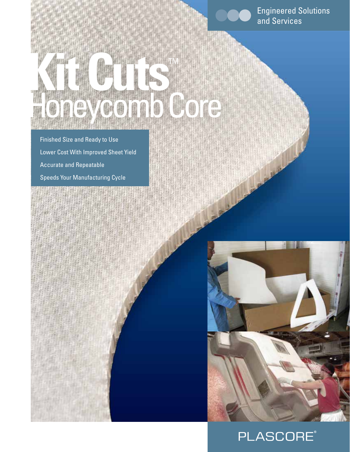Engineered Solutions and Services

Finished Size and Ready to Use Lower Cost With Improved Sheet Yield Accurate and Repeatable Speeds Your Manufacturing Cycle

**Kit Cuts**TM

eycomb Core



## **PLASCORE®**